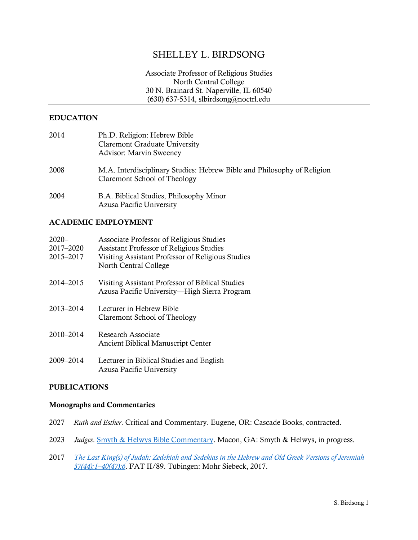# SHELLEY L. BIRDSONG

Associate Professor of Religious Studies North Central College 30 N. Brainard St. Naperville, IL 60540 (630) 637-5314, slbirdsong@noctrl.edu

### EDUCATION

| 2014 | Ph.D. Religion: Hebrew Bible<br><b>Claremont Graduate University</b><br><b>Advisor: Marvin Sweeney</b>  |
|------|---------------------------------------------------------------------------------------------------------|
| 2008 | M.A. Interdisciplinary Studies: Hebrew Bible and Philosophy of Religion<br>Claremont School of Theology |
| 2004 | B.A. Biblical Studies, Philosophy Minor                                                                 |

## ACADEMIC EMPLOYMENT

| $2020 -$<br>2017-2020<br>2015-2017 | Associate Professor of Religious Studies<br><b>Assistant Professor of Religious Studies</b><br>Visiting Assistant Professor of Religious Studies<br>North Central College |
|------------------------------------|---------------------------------------------------------------------------------------------------------------------------------------------------------------------------|
| 2014-2015                          | Visiting Assistant Professor of Biblical Studies<br>Azusa Pacific University—High Sierra Program                                                                          |
| 2013-2014                          | Lecturer in Hebrew Bible<br>Claremont School of Theology                                                                                                                  |
| 2010-2014                          | Research Associate<br><b>Ancient Biblical Manuscript Center</b>                                                                                                           |
| 2009-2014                          | Lecturer in Biblical Studies and English<br>Azusa Pacific University                                                                                                      |

Azusa Pacific University

### PUBLICATIONS

#### Monographs and Commentaries

- 2027 *Ruth and Esther*. Critical and Commentary. Eugene, OR: Cascade Books, contracted.
- 2023 *Judges*[. Smyth & Helwys Bible Commentary.](https://www.helwys.com/smyth-helwys-bible-commentary/) Macon, GA: Smyth & Helwys, in progress.
- 2017 *[The Last King\(s\) of Judah: Zedekiah and Sedekias in the Hebrew and](https://www.mohrsiebeck.com/en/book/the-last-kings-of-judah-9783161538889?no_cache=1) Old Greek Versions of Jeremiah [37\(44\):1](https://www.mohrsiebeck.com/en/book/the-last-kings-of-judah-9783161538889?no_cache=1)–40(47):6*. FAT II/89. Tübingen: Mohr Siebeck, 2017.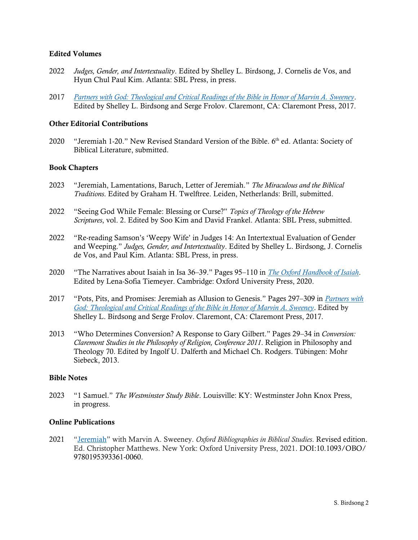### Edited Volumes

- 2022 *Judges, Gender, and Intertextuality*. Edited by Shelley L. Birdsong, J. Cornelis de Vos, and Hyun Chul Paul Kim. Atlanta: SBL Press, in press.
- 2017 *Partners with God: [Theological and Critical Readings of the Bible in Honor of Marvin A. Sweeney](http://www.claremontpress.com/partners-with-god.html)*. Edited by Shelley L. Birdsong and Serge Frolov. Claremont, CA: Claremont Press, 2017.

### Other Editorial Contributions

2020 "Jeremiah 1-20." New Revised Standard Version of the Bible. 6<sup>th</sup> ed. Atlanta: Society of Biblical Literature, submitted.

### Book Chapters

- 2023 "Jeremiah, Lamentations, Baruch, Letter of Jeremiah." *The Miraculous and the Biblical Traditions*. Edited by Graham H. Twelftree. Leiden, Netherlands: Brill, submitted.
- 2022 "Seeing God While Female: Blessing or Curse?" *Topics of Theology of the Hebrew Scriptures*, vol. 2. Edited by Soo Kim and David Frankel. Atlanta: SBL Press, submitted.
- 2022 "Re-reading Samson's 'Weepy Wife' in Judges 14: An Intertextual Evaluation of Gender and Weeping." *Judges, Gender, and Intertextuality*. Edited by Shelley L. Birdsong, J. Cornelis de Vos, and Paul Kim. Atlanta: SBL Press, in press.
- 2020 "The Narratives about Isaiah in Isa 36–39." Pages 95–110 in *[The Oxford Handbook of Isaiah](https://www.oxfordhandbooks.com/view/10.1093/oxfordhb/9780190669249.001.0001/oxfordhb-9780190669249)*. Edited by Lena-Sofia Tiemeyer. Cambridge: Oxford University Press, 2020.
- 2017 "Pots, Pits, and Promises: Jeremiah as Allusion to Genesis." Pages 297–309 in *[Partners with](http://www.claremontpress.com/partners-with-god.html)  God: [Theological and Critical Readings of the Bible in Honor of Marvin A. Sweeney](http://www.claremontpress.com/partners-with-god.html)*. Edited by Shelley L. Birdsong and Serge Frolov. Claremont, CA: Claremont Press, 2017.
- 2013 "Who Determines Conversion? A Response to Gary Gilbert." Pages 29–34 in *Conversion: Claremont Studies in the Philosophy of Religion, Conference 2011*. Religion in Philosophy and Theology 70. Edited by Ingolf U. Dalferth and Michael Ch. Rodgers. Tübingen: Mohr Siebeck, 2013.

### Bible Notes

2023 "1 Samuel." *The Westminster Study Bible*. Louisville: KY: Westminster John Knox Press, in progress.

### Online Publications

2021 "[Jeremiah](https://www.oxfordbibliographies.com/view/document/obo-9780195393361/obo-9780195393361-0060.xml)" with Marvin A. Sweeney. *Oxford Bibliographies in Biblical Studies*. Revised edition. Ed. Christopher Matthews. New York: Oxford University Press, 2021. DOI:10.1093/OBO/ 9780195393361-0060.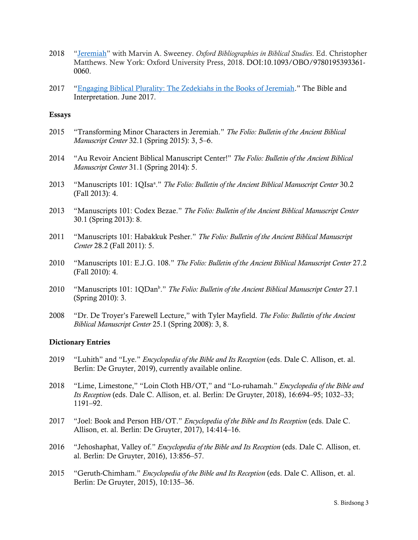- 2018 "[Jeremiah](https://www.oxfordbibliographies.com/view/document/obo-9780195393361/obo-9780195393361-0060.xml)" with Marvin A. Sweeney. *Oxford Bibliographies in Biblical Studies*. Ed. Christopher Matthews. New York: Oxford University Press, 2018. DOI:10.1093/OBO/9780195393361- 0060.
- 2017 "[Engaging Biblical Plurality: The Zedekiahs in the Books of Jeremiah](http://www.bibleinterp.com/articles/2017/06/bir418009.shtml)." The Bible and Interpretation. June 2017.

### Essays

- 2015 "Transforming Minor Characters in Jeremiah." *The Folio: Bulletin of the Ancient Biblical Manuscript Center* 32.1 (Spring 2015): 3, 5–6.
- 2014 "Au Revoir Ancient Biblical Manuscript Center!" *The Folio: Bulletin of the Ancient Biblical Manuscript Center* 31.1 (Spring 2014): 5.
- 2013 "Manuscripts 101: 1QIsa<sup>a</sup> ." *The Folio: Bulletin of the Ancient Biblical Manuscript Center* 30.2 (Fall 2013): 4.
- 2013 "Manuscripts 101: Codex Bezae." *The Folio: Bulletin of the Ancient Biblical Manuscript Center* 30.1 (Spring 2013): 8.
- 2011 "Manuscripts 101: Habakkuk Pesher." *The Folio: Bulletin of the Ancient Biblical Manuscript Center* 28.2 (Fall 2011): 5.
- 2010 "Manuscripts 101: E.J.G. 108." *The Folio: Bulletin of the Ancient Biblical Manuscript Center* 27.2 (Fall 2010): 4.
- 2010 "Manuscripts 101: 1QDan<sup>b</sup>." *The Folio: Bulletin of the Ancient Biblical Manuscript Center* 27.1 (Spring 2010): 3.
- 2008 "Dr. De Troyer's Farewell Lecture," with Tyler Mayfield. *The Folio: Bulletin of the Ancient Biblical Manuscript Center* 25.1 (Spring 2008): 3, 8.

#### Dictionary Entries

- 2019 "Luhith" and "Lye." *Encyclopedia of the Bible and Its Reception* (eds. Dale C. Allison, et. al. Berlin: De Gruyter, 2019), currently available online.
- 2018 "Lime, Limestone," "Loin Cloth HB/OT," and "Lo-ruhamah." *Encyclopedia of the Bible and Its Reception* (eds. Dale C. Allison, et. al. Berlin: De Gruyter, 2018), 16:694–95; 1032–33; 1191–92.
- 2017 "Joel: Book and Person HB/OT." *Encyclopedia of the Bible and Its Reception* (eds. Dale C. Allison, et. al. Berlin: De Gruyter, 2017), 14:414–16.
- 2016 "Jehoshaphat, Valley of." *Encyclopedia of the Bible and Its Reception* (eds. Dale C. Allison, et. al. Berlin: De Gruyter, 2016), 13:856–57.
- 2015 "Geruth-Chimham." *Encyclopedia of the Bible and Its Reception* (eds. Dale C. Allison, et. al. Berlin: De Gruyter, 2015), 10:135–36.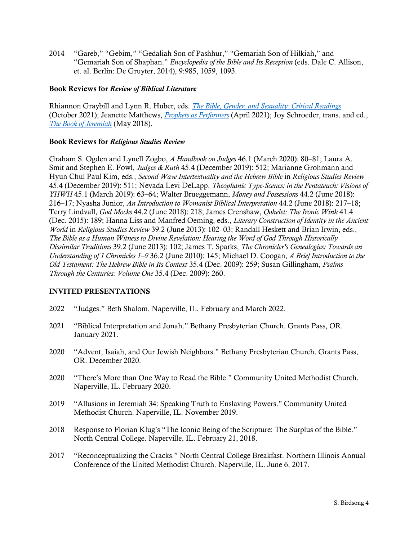2014 "Gareb," "Gebim," "Gedaliah Son of Pashhur," "Gemariah Son of Hilkiah," and "Gemariah Son of Shaphan." *Encyclopedia of the Bible and Its Reception* (eds. Dale C. Allison, et. al. Berlin: De Gruyter, 2014), 9:985, 1059, 1093.

## Book Reviews for *Review of Biblical Literature*

Rhiannon Graybill and Lynn R. Huber, eds. *[The Bible, Gender, and Sexuality: Critical Readings](https://www.sblcentral.org/home/bookDetails/1000088?search=The%20Bible,%20Gender,%20and%20Sexuality:%20Critical%20Readings&type=0)* (October 2021); Jeanette Matthews, *[Prophets as Performers](https://www.sblcentral.org/home/bookDetails/13703?search=Prophets%20as%20Performers&type=0)* (April 2021); Joy Schroeder, trans. and ed., *[The Book of Jeremiah](https://www.sblcentral.org/home/bookDetails/11806?search=the%20book%20of%20Jeremiah&type=1)* (May 2018).

## Book Reviews for *Religious Studies Review*

Graham S. Ogden and Lynell Zogbo, *A Handbook on Judges* 46.1 (March 2020): 80–81; Laura A. Smit and Stephen E. Fowl, *Judges & Ruth* 45.4 (December 2019): 512; Marianne Grohmann and Hyun Chul Paul Kim, eds., *Second Wave Intertextuality and the Hebrew Bible* in *Religious Studies Review* 45.4 (December 2019): 511; Nevada Levi DeLapp, *Theophanic Type-Scenes: in the Pentateuch: Visions of YHWH* 45.1 (March 2019): 63–64; Walter Brueggemann, *Money and Possessions* 44.2 (June 2018): 216–17; Nyasha Junior, *An Introduction to Womanist Biblical Interpretation* 44.2 (June 2018): 217–18; Terry Lindvall, *God Mocks* 44.2 (June 2018): 218; James Crenshaw, *Qohelet: The Ironic Wink* 41.4 (Dec. 2015): 189; Hanna Liss and Manfred Oeming, eds., *Literary Construction of Identity in the Ancient World* in *Religious Studies Review* 39.2 (June 2013): 102–03; Randall Heskett and Brian Irwin, eds., *The Bible as a Human Witness to Divine Revelation: Hearing the Word of God Through Historically Dissimilar Traditions* 39.2 (June 2013): 102; James T. Sparks, *The Chronicler's Genealogies: Towards an Understanding of 1 Chronicles 1–9* 36.2 (June 2010): 145; Michael D. Coogan, *A Brief Introduction to the Old Testament: The Hebrew Bible in Its Context* 35.4 (Dec. 2009): 259; Susan Gillingham, *Psalms Through the Centuries: Volume One* 35.4 (Dec. 2009): 260.

## INVITED PRESENTATIONS

- 2022 "Judges." Beth Shalom. Naperville, IL. February and March 2022.
- 2021 "Biblical Interpretation and Jonah." Bethany Presbyterian Church. Grants Pass, OR. January 2021.
- 2020 "Advent, Isaiah, and Our Jewish Neighbors." Bethany Presbyterian Church. Grants Pass, OR. December 2020.
- 2020 "There's More than One Way to Read the Bible." Community United Methodist Church. Naperville, IL. February 2020.
- 2019 "Allusions in Jeremiah 34: Speaking Truth to Enslaving Powers." Community United Methodist Church. Naperville, IL. November 2019.
- 2018 Response to Florian Klug's "The Iconic Being of the Scripture: The Surplus of the Bible." North Central College. Naperville, IL. February 21, 2018.
- 2017 "Reconceptualizing the Cracks." North Central College Breakfast. Northern Illinois Annual Conference of the United Methodist Church. Naperville, IL. June 6, 2017.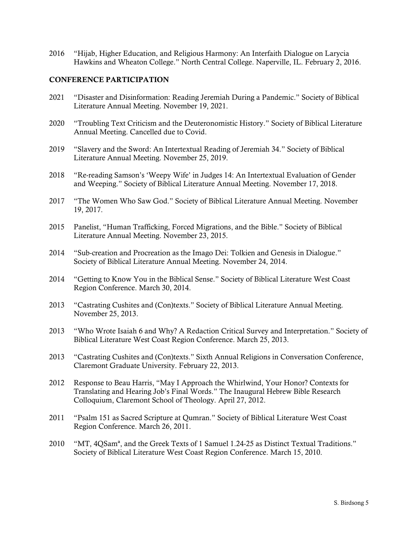2016 "Hijab, Higher Education, and Religious Harmony: An Interfaith Dialogue on Larycia Hawkins and Wheaton College." North Central College. Naperville, IL. February 2, 2016.

### CONFERENCE PARTICIPATION

- 2021 "Disaster and Disinformation: Reading Jeremiah During a Pandemic." Society of Biblical Literature Annual Meeting. November 19, 2021.
- 2020 "Troubling Text Criticism and the Deuteronomistic History." Society of Biblical Literature Annual Meeting. Cancelled due to Covid.
- 2019 "Slavery and the Sword: An Intertextual Reading of Jeremiah 34." Society of Biblical Literature Annual Meeting. November 25, 2019.
- 2018 "Re-reading Samson's 'Weepy Wife' in Judges 14: An Intertextual Evaluation of Gender and Weeping." Society of Biblical Literature Annual Meeting. November 17, 2018.
- 2017 "The Women Who Saw God." Society of Biblical Literature Annual Meeting. November 19, 2017.
- 2015 Panelist, "Human Trafficking, Forced Migrations, and the Bible." Society of Biblical Literature Annual Meeting. November 23, 2015.
- 2014 "Sub-creation and Procreation as the Imago Dei: Tolkien and Genesis in Dialogue." Society of Biblical Literature Annual Meeting. November 24, 2014.
- 2014 "Getting to Know You in the Biblical Sense." Society of Biblical Literature West Coast Region Conference. March 30, 2014.
- 2013 "Castrating Cushites and (Con)texts." Society of Biblical Literature Annual Meeting. November 25, 2013.
- 2013 "Who Wrote Isaiah 6 and Why? A Redaction Critical Survey and Interpretation." Society of Biblical Literature West Coast Region Conference. March 25, 2013.
- 2013 "Castrating Cushites and (Con)texts." Sixth Annual Religions in Conversation Conference, Claremont Graduate University. February 22, 2013.
- 2012 Response to Beau Harris, "May I Approach the Whirlwind, Your Honor? Contexts for Translating and Hearing Job's Final Words." The Inaugural Hebrew Bible Research Colloquium, Claremont School of Theology. April 27, 2012.
- 2011 "Psalm 151 as Sacred Scripture at Qumran." Society of Biblical Literature West Coast Region Conference. March 26, 2011.
- 2010 "MT, 4QSamª, and the Greek Texts of 1 Samuel 1.24-25 as Distinct Textual Traditions." Society of Biblical Literature West Coast Region Conference. March 15, 2010.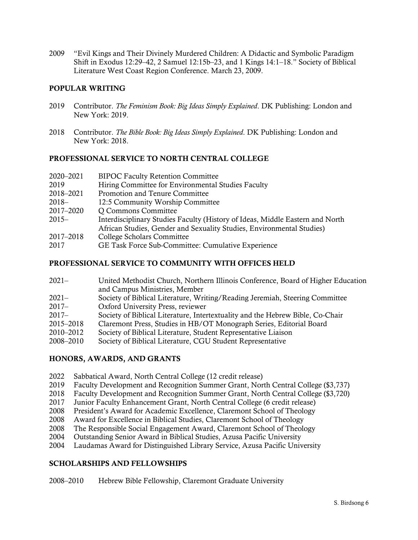"Evil Kings and Their Divinely Murdered Children: A Didactic and Symbolic Paradigm Shift in Exodus 12:29–42, 2 Samuel 12:15b–23, and 1 Kings 14:1–18." Society of Biblical Literature West Coast Region Conference. March 23, 2009.

## POPULAR WRITING

- 2019 Contributor. *The Feminism Book: Big Ideas Simply Explained*. DK Publishing: London and New York: 2019.
- Contributor. *The Bible Book: Big Ideas Simply Explained*. DK Publishing: London and New York: 2018.

## PROFESSIONAL SERVICE TO NORTH CENTRAL COLLEGE

| 2020-2021 | <b>BIPOC Faculty Retention Committee</b>                                      |  |
|-----------|-------------------------------------------------------------------------------|--|
| 2019      | Hiring Committee for Environmental Studies Faculty                            |  |
| 2018-2021 | Promotion and Tenure Committee                                                |  |
| $2018-$   | 12:5 Community Worship Committee                                              |  |
| 2017-2020 | Q Commons Committee                                                           |  |
| $2015-$   | Interdisciplinary Studies Faculty (History of Ideas, Middle Eastern and North |  |
|           | African Studies, Gender and Sexuality Studies, Environmental Studies)         |  |
| 2017-2018 | College Scholars Committee                                                    |  |
| 2017      | GE Task Force Sub-Committee: Cumulative Experience                            |  |
|           |                                                                               |  |

## PROFESSIONAL SERVICE TO COMMUNITY WITH OFFICES HELD

| $2021 -$  | United Methodist Church, Northern Illinois Conference, Board of Higher Education |  |
|-----------|----------------------------------------------------------------------------------|--|
|           | and Campus Ministries, Member                                                    |  |
| $2021 -$  | Society of Biblical Literature, Writing/Reading Jeremiah, Steering Committee     |  |
| $2017 -$  | Oxford University Press, reviewer                                                |  |
| $2017 -$  | Society of Biblical Literature, Intertextuality and the Hebrew Bible, Co-Chair   |  |
| 2015-2018 | Claremont Press, Studies in HB/OT Monograph Series, Editorial Board              |  |
| 2010-2012 | Society of Biblical Literature, Student Representative Liaison                   |  |
| 2008-2010 | Society of Biblical Literature, CGU Student Representative                       |  |
|           |                                                                                  |  |

## HONORS, AWARDS, AND GRANTS

- Sabbatical Award, North Central College (12 credit release)
- 2019 Faculty Development and Recognition Summer Grant, North Central College (\$3,737)
- Faculty Development and Recognition Summer Grant, North Central College (\$3,720)
- Junior Faculty Enhancement Grant, North Central College (6 credit release)
- President's Award for Academic Excellence, Claremont School of Theology
- Award for Excellence in Biblical Studies, Claremont School of Theology
- The Responsible Social Engagement Award, Claremont School of Theology
- Outstanding Senior Award in Biblical Studies, Azusa Pacific University
- Laudamas Award for Distinguished Library Service, Azusa Pacific University

## SCHOLARSHIPS AND FELLOWSHIPS

–2010 Hebrew Bible Fellowship, Claremont Graduate University